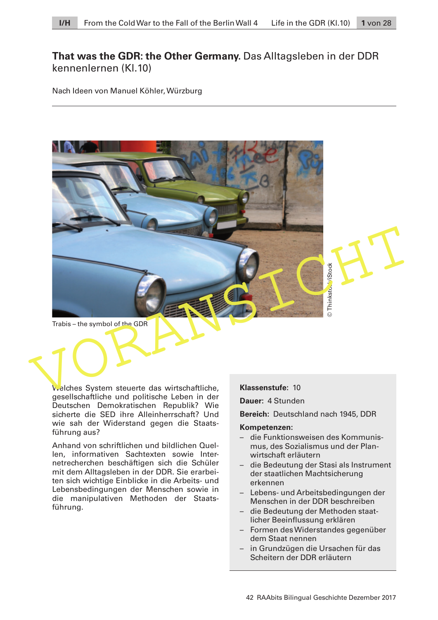# **That was the GDR: the Other Germany.** Das Alltagsleben in der DDR kennenlernen (Kl.10)

Nach Ideen von Manuel Köhler, Würzburg



Welches System steuerte das wirtschaftliche, gesellschaftliche und politische Leben in der

Deutschen Demokratischen Republik? Wie sicherte die SED ihre Alleinherrschaft? Und wie sah der Widerstand gegen die Staatsführung aus?

Anhand von schriftlichen und bildlichen Quellen, informativen Sachtexten sowie Internetrecherchen beschäftigen sich die Schüler mit dem Alltagsleben in der DDR. Sie erarbeiten sich wichtige Einblicke in die Arbeits- und Lebensbedingungen der Menschen sowie in die manipulativen Methoden der Staatsführung.

**Klassenstufe:** 10

**Dauer:** 4 Stunden

**Bereich:** Deutschland nach 1945, DDR

#### **Kompetenzen:**

- die Funktionsweisen des Kommunismus, des Sozialismus und der Planwirtschaft erläutern
- die Bedeutung der Stasi als Instrument der staatlichen Machtsicherung erkennen
- Lebens- und Arbeitsbedingungen der Menschen in der DDR beschreiben
- die Bedeutung der Methoden staatlicher Beeinflussung erklären
- Formen des Widerstandes gegenüber dem Staat nennen
- in Grundzügen die Ursachen für das Scheitern der DDR erläutern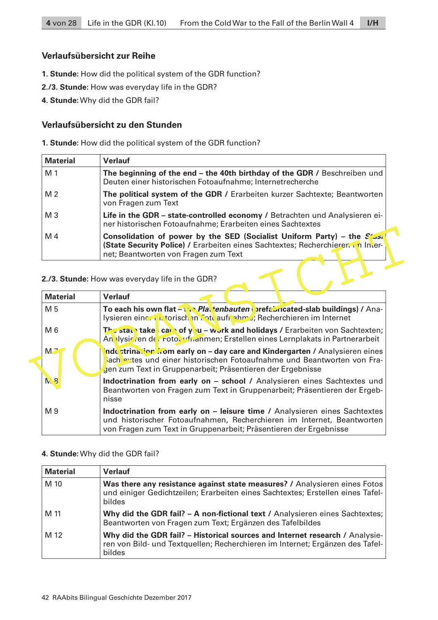## **Verlaufsübersicht zur Reihe**

- **1. Stunde:** How did the political system of the GDR function?
- **2./3. Stunde:** How was everyday life in the GDR?
- **4. Stunde:** Why did the GDR fail?

## **Verlaufsübersicht zu den Stunden**

**1. Stunde:** How did the political system of the GDR function?

| <b>Material</b> | <b>Verlauf</b>                                                                                                                                                                                   |
|-----------------|--------------------------------------------------------------------------------------------------------------------------------------------------------------------------------------------------|
| M 1             | The beginning of the end – the 40th birthday of the GDR / Beschreiben und<br>Deuten einer historischen Fotoaufnahme; Internetrecherche                                                           |
| M <sub>2</sub>  | The political system of the GDR / Erarbeiten kurzer Sachtexte; Beantworten<br>von Fragen zum Text                                                                                                |
| $M_3$           | Life in the GDR - state-controlled economy / Betrachten und Analysieren ei-<br>ner historischen Fotoaufnahme; Erarbeiten eines Sachtextes                                                        |
| M 4             | Consolidation of power by the SED (Socialist Uniform Party) – the $Su$<br>(State Security Police) / Erarbeiten eines Sachtextes; Recherchieren in Inter-<br>net; Beantworten von Fragen zum Text |

| M <sub>4</sub>  | Consolidation of power by the SED (Socialist Uniform Party) – the $Stest$<br>(State Security Police) / Erarbeiten eines Sachtextes; Recherchieren in Inter-<br>net; Beantworten von Fragen zum Text                       |
|-----------------|---------------------------------------------------------------------------------------------------------------------------------------------------------------------------------------------------------------------------|
|                 | 2./3. Stunde: How was everyday life in the GDR?                                                                                                                                                                           |
| <b>Material</b> | <b>Verlauf</b>                                                                                                                                                                                                            |
| M 5             | To each his own flat - W Plat tenbauten prefabricated-slab buildings) / Ana-<br>lysieren einer intersichen Fotoaufnahme; Recherchieren im Internet                                                                        |
| M 6             | <b>The state take can of you - work and holidays / Erarbeiten von Sachtexten;</b><br>Analysieren der Fotocufnahmen; Erstellen eines Lernplakats in Partnerarbeit                                                          |
| M <sub>7</sub>  | nde strination from early on - day care and Kindergarten / Analysieren eines<br>Sach extes und einer historischen Fotoaufnahme und Beantworten von Fra-<br>gen zum Text in Gruppenarbeit; Präsentieren der Ergebnisse     |
| <b>N.S</b>      | Indoctrination from early on - school / Analysieren eines Sachtextes und<br>Beantworten von Fragen zum Text in Gruppenarbeit; Präsentieren der Ergeb-<br>nisse                                                            |
| M 9             | Indoctrination from early on – leisure time / Analysieren eines Sachtextes<br>und historischer Fotoaufnahmen, Recherchieren im Internet, Beantworten<br>von Fragen zum Text in Gruppenarbeit; Präsentieren der Ergebnisse |

### **4. Stunde:** Why did the GDR fail?

| <b>Material</b> | <b>Verlauf</b>                                                                                                                                                          |
|-----------------|-------------------------------------------------------------------------------------------------------------------------------------------------------------------------|
| M 10            | Was there any resistance against state measures? / Analysieren eines Fotos<br>und einiger Gedichtzeilen; Erarbeiten eines Sachtextes; Erstellen eines Tafel-<br>bildes  |
| M 11            | Why did the GDR fail? - A non-fictional text / Analysieren eines Sachtextes;<br>Beantworten von Fragen zum Text; Ergänzen des Tafelbildes                               |
| M 12            | Why did the GDR fail? - Historical sources and Internet research / Analysie-<br>ren von Bild- und Textquellen; Recherchieren im Internet; Ergänzen des Tafel-<br>bildes |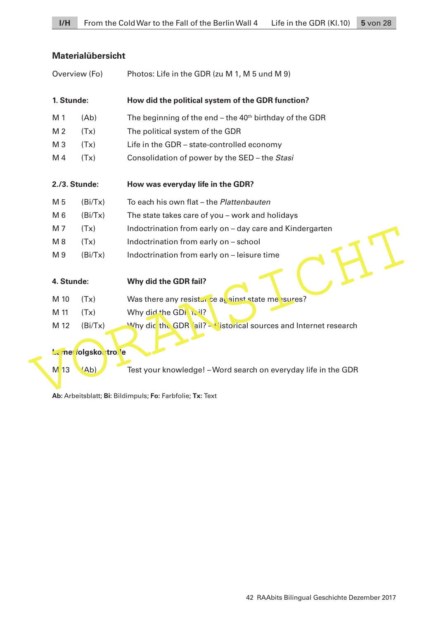# **Materialübersicht**

|                                                           | Overview (Fo)   |                       | Photos: Life in the GDR (zu M 1, M 5 und M 9)                       |  |
|-----------------------------------------------------------|-----------------|-----------------------|---------------------------------------------------------------------|--|
|                                                           | 1. Stunde:      |                       | How did the political system of the GDR function?                   |  |
|                                                           | M 1             | (Ab)                  | The beginning of the end - the 40 <sup>th</sup> birthday of the GDR |  |
|                                                           | M <sub>2</sub>  | (Tx)                  | The political system of the GDR                                     |  |
|                                                           | M <sub>3</sub>  | (Tx)                  | Life in the GDR - state-controlled economy                          |  |
|                                                           | M 4             | (Tx)                  | Consolidation of power by the SED - the Stasi                       |  |
|                                                           | 2./3. Stunde:   |                       | How was everyday life in the GDR?                                   |  |
|                                                           | M 5             | (Bi/Tx)               | To each his own flat - the Plattenbauten                            |  |
|                                                           | M 6             | (Bi/Tx)               | The state takes care of you - work and holidays                     |  |
|                                                           | M 7             | (Tx)                  | Indoctrination from early on - day care and Kindergarten            |  |
|                                                           | M8              | (Tx)                  | Indoctrination from early on - school                               |  |
|                                                           | M 9             | (Bi/Tx)               | Indoctrination from early on - leisure time                         |  |
|                                                           | 4. Stunde:      |                       | Why did the GDR fail?                                               |  |
|                                                           | M 10            | (Tx)                  | Was there any resistance as ainst state me sures?                   |  |
|                                                           | M 11            | (Tx)                  | Why did the GDH 12:1?                                               |  |
|                                                           | M 12            | (Bi/Tx)               | Why did the GDR ail? - Vistorical sources and Internet research     |  |
|                                                           |                 | Le mer rolgsko tro le |                                                                     |  |
|                                                           | M <sub>13</sub> | 'Ab)                  | Test your knowledge! – Word search on everyday life in the GDR      |  |
| Ab: Arbeitsblatt; Bi: Bildimpuls; Fo: Farbfolie; Tx: Text |                 |                       |                                                                     |  |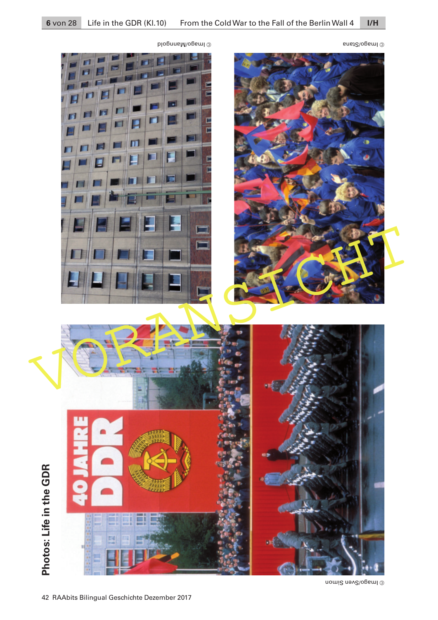



Imagoren Simonia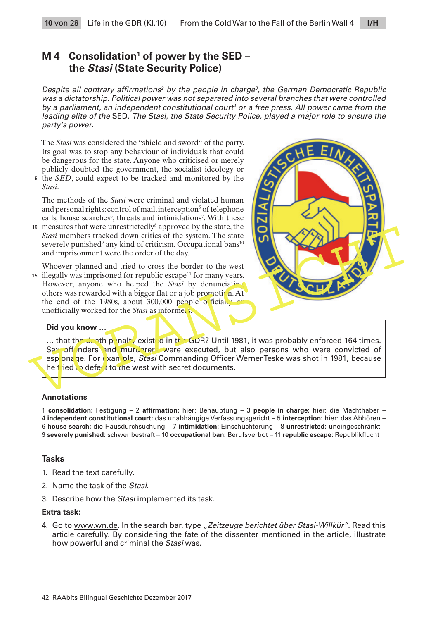## **M 4 Consolidation<sup>1</sup> of power by the SED – the Stasi (State Security Police)**

Despite all contrary affirmations<sup>2</sup> by the people in charge<sup>3</sup>, the German Democratic Republic was a dictatorship. Political power was not separated into several branches that were controlled by a parliament, an independent constitutional court<sup>4</sup> or a free press. All power came from the leading elite of the SED. The Stasi, the State Security Police, played a major role to ensure the party's power.

The *Stasi* was considered the "shield and sword" of the party. Its goal was to stop any behaviour of individuals that could be dangerous for the state. Anyone who criticised or merely publicly doubted the government, the socialist ideology or

<sup>5</sup> the *SED*, could expect to be tracked and monitored by the *Stasi*.

The methods of the *Stasi* were criminal and violated human and personal rights: control of mail, interception<sup>5</sup> of telephone calls, house searches<sup>6</sup>, threats and intimidations<sup>7</sup>. With these

10 measures that were unrestrictedly<sup>8</sup> approved by the state, the *Stasi* members tracked down critics of the system. The state severely punished<sup>9</sup> any kind of criticism. Occupational bans<sup>10</sup> and imprisonment were the order of the day.

Whoever planned and tried to cross the border to the west  $15$  illegally was imprisoned for republic escape<sup>11</sup> for many years. However, anyone who helped the *Stasi* by denunciating others was rewarded with a bigger flat or a job promotion. At the end of the 1980s, about 300,000 people officially or unofficially worked for the *Stasi* as informers.



#### **Did you know …**

 $\ldots$  that the death penalty existed in the GDR? Until 1981, it was probably enforced 164 times. Sex off nders and murderers were executed, but also persons who were convicted of esp ona ge. For example, Stasi Commanding Officer Werner Teske was shot in 1981, because he tried to defect to the west with secret documents.

#### **Annotations**

 **consolidation:** Festigung – 2 **affirmation:** hier: Behauptung – 3 **people in charge:** hier: die Machthaber –  **independent constitutional court:** das unabhängige Verfassungsgericht – 5 **interception:** hier: das Abhören –  **house search:** die Hausdurchsuchung – 7 **intimidation:** Einschüchterung – 8 **unrestricted:** uneingeschränkt –  **severely punished:** schwer bestraft – 10 **occupational ban:** Berufsverbot – 11 **republic escape:** Republikflucht

### **Tasks**

- 1. Read the text carefully.
- 2. Name the task of the Stasi.
- 3. Describe how the Stasi implemented its task.

#### **Extra task:**

4. Go to [www.wn.de.](http://www.wn.de) In the search bar, type "Zeitzeuge berichtet über Stasi-Willkür". Read this article carefully. By considering the fate of the dissenter mentioned in the article, illustrate how powerful and criminal the Stasi was.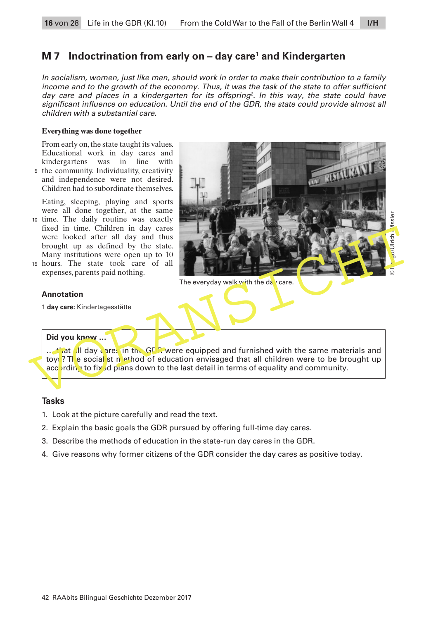# **M 7 Indoctrination from early on – day care<sup>1</sup> and Kindergarten**

In socialism, women, just like men, should work in order to make their contribution to a family income and to the growth of the economy. Thus, it was the task of the state to offer sufficient day care and places in a kindergarten for its offspring<sup>2</sup>. In this way, the state could have significant influence on education. Until the end of the GDR, the state could provide almost all children with a substantial care.

### **Everything was done together**

From early on, the state taught its values. Educational work in day cares and kindergartens was in line with the community. Individuality, creativity 5

and independence were not desired. Children had to subordinate themselves.

Eating, sleeping, playing and sports were all done together, at the same

- 10 time. The daily routine was exactly fixed in time. Children in day cares were looked after all day and thus brought up as defined by the state. Many institutions were open up to 10
- 15 hours. The state took care of all expenses, parents paid nothing.

### **Annotation**

1 **day care:** Kindertagesstätte

### **Did you know …**

 $\ldots$  that all day cares in the GDR were equipped and furnished with the same materials and toys? The social st n ethod of education envisaged that all children were to be brought up according to fixed plans down to the last detail in terms of equality and community.

## **Tasks**

- 1. Look at the picture carefully and read the text.
- 2. Explain the basic goals the GDR pursued by offering full-time day cares.
- 3. Describe the methods of education in the state-run day cares in the GDR.
- 4. Give reasons why former citizens of the GDR consider the day cares as positive today.